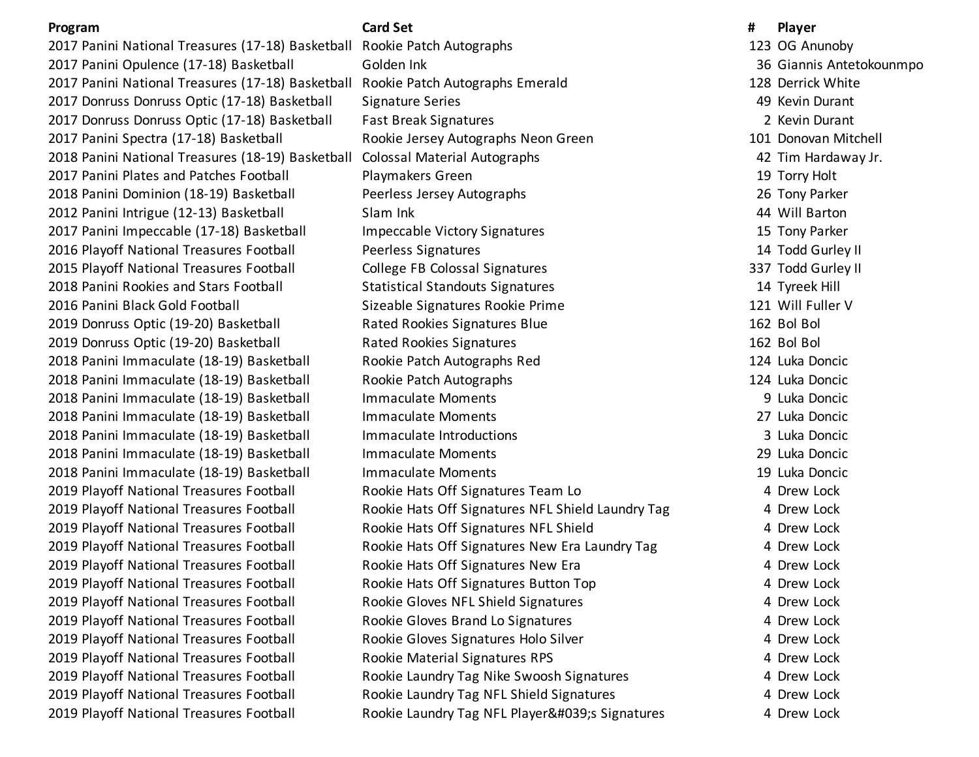2017 Panini National Treasures (17-18) Basketball Rookie Patch Autographs 123 OG Anunoby 2017 Panini Opulence (17-18) Basketball Golden Ink 36 Giannis Antetokounmpo 2017 Panini National Treasures (17-18) Basketball Rookie Patch Autographs Emerald 128 Derrick White 2017 Donruss Donruss Optic (17-18) Basketball Signature Series 49 Kevin Durant 2017 Donruss Donruss Optic (17-18) Basketball Fast Break Signatures 2 Kevin Durant 2017 Panini Spectra (17-18) Basketball Rookie Jersey Autographs Neon Green 101 Donovan Mitchell 2018 Panini National Treasures (18-19) Basketball Colossal Material Autographs 42 Tim Hardaway Jr. 2017 Panini Plates and Patches Football Playmakers Green 19 Torry Holt 2018 Panini Dominion (18-19) Basketball Peerless Jersey Autographs 26 Tony Parker 2012 Panini Intrigue (12-13) Basketball Slam Ink 44 Will Barton 2017 Panini Impeccable (17-18) Basketball Impeccable Victory Signatures 15 Tony Parker 2016 Playoff National Treasures Football Peerless Signatures 14 Todd Gurley II 2015 Playoff National Treasures Football College FB Colossal Signatures 2015 Playoff National Treasures 1997 Todd Gurley II 2018 Panini Rookies and Stars Football Statistical Standouts Signatures 14 Tyreek Hill 2016 Panini Black Gold Football Sizeable Signatures Rookie Prime 121 Will Fuller V 2019 Donruss Optic (19-20) Basketball Rated Rookies Signatures Blue 162 Bol Bol 2019 Donruss Optic (19-20) Basketball Rated Rookies Signatures 162 Bol Bol 2018 Panini Immaculate (18-19) Basketball Rookie Patch Autographs Red 124 Luka Doncic 2018 Panini Immaculate (18-19) Basketball Rookie Patch Autographs 124 Luka Doncic 2018 Panini Immaculate (18-19) Basketball Immaculate Moments 9 Luka Doncic 2018 Panini Immaculate (18-19) Basketball Immaculate Moments 27 Luka Doncic 2018 Panini Immaculate (18-19) Basketball Immaculate Introductions 3 Luka Doncic 2018 Panini Immaculate (18-19) Basketball Immaculate Moments 29 Luka Doncic 2018 Panini Immaculate (18-19) Basketball Immaculate Moments 19 Luka Doncic 2019 Playoff National Treasures Football Rookie Hats Off Signatures Team Lo 4 Drew Lock 2019 Playoff National Treasures Football Rookie Hats Off Signatures NFL Shield Laundry Tag 4 Drew Lock 2019 Playoff National Treasures Football **Rookie Hats Off Signatures NFL Shield** 4 Drew Lock 2019 Playoff National Treasures Football **Rookie Hats Off Signatures New Era Laundry Tag** 4 Drew Lock 2019 Playoff National Treasures Football Rookie Hats Off Signatures New Era 4 Drew Lock 2019 Playoff National Treasures Football **Rookie Hats Off Signatures Button Top** 4 Drew Lock 2019 Playoff National Treasures Football **Rookie Gloves NFL Shield Signatures** 4 Drew Lock 2019 Playoff National Treasures Football **Rookie Gloves Brand Lo Signatures** 4 Drew Lock 2019 Playoff National Treasures Football **Rookie Gloves Signatures Holo Silver** Manusch Manusch 4 Drew Lock 2019 Playoff National Treasures Football **Rookie Material Signatures RPS** 4 Drew Lock 2019 Playoff National Treasures Football **Rookie Laundry Tag Nike Swoosh Signatures** 4 Drew Lock 2019 Playoff National Treasures Football **Rookie Laundry Tag NFL Shield Signatures** 4 Drew Lock 2019 Playoff National Treasures Football Rookie Laundry Tag NFL Player's Signatures 4 Drew Lock

**Program Card Set # Player**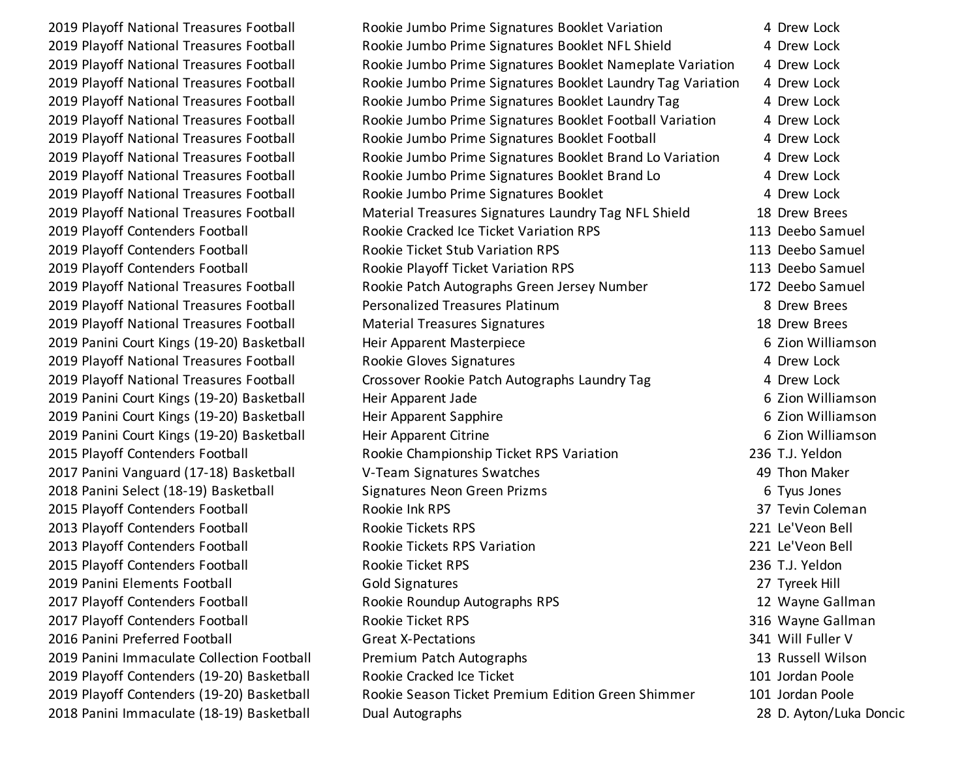2019 Playoff National Treasures Football Rookie Jumbo Prime Signatures Booklet Variation 4 Drew Lock 2019 Playoff National Treasures Football Rookie Jumbo Prime Signatures Booklet NFL Shield 4 Drew Lock 2019 Playoff National Treasures Football Rookie Jumbo Prime Signatures Booklet Nameplate Variation 4 Drew Lock 2019 Playoff National Treasures Football Rookie Jumbo Prime Signatures Booklet Laundry Tag Variation 4 Drew Lock 2019 Playoff National Treasures Football Rookie Jumbo Prime Signatures Booklet Laundry Tag 4 Drew Lock 2019 Playoff National Treasures Football Rookie Jumbo Prime Signatures Booklet Football Variation 4 Drew Lock 2019 Playoff National Treasures Football **Rookie Jumbo Prime Signatures Booklet Football** 4 Drew Lock 2019 Playoff National Treasures Football Rookie Jumbo Prime Signatures Booklet Brand Lo Variation 4 Drew Lock 2019 Playoff National Treasures Football Rookie Jumbo Prime Signatures Booklet Brand Lo 4 Drew Lock 2019 Playoff National Treasures Football **Rookie Jumbo Prime Signatures Booklet** 4 Drew Lock 2019 Playoff National Treasures Football Material Treasures Signatures Laundry Tag NFL Shield 18 Drew Brees 2019 Playoff Contenders Football **Rookie Cracked Ice Ticket Variation RPS** 113 Deebo Samuel 2019 Playoff Contenders Football **Rookie Ticket Stub Variation RPS** 113 Deebo Samuel 2019 Playoff Contenders Football **Rookie Playoff Ticket Variation RPS** 113 Deebo Samuel 2019 Playoff National Treasures Football Rookie Patch Autographs Green Jersey Number 172 Deebo Samuel 2019 Playoff National Treasures Football Personalized Treasures Platinum 8 Drew Brees 2019 Playoff National Treasures Football Material Treasures Signatures 18 Drew Brees 2019 Panini Court Kings (19-20) Basketball Freir Apparent Masterpiece Entertainment of Zion Williamson 2019 Playoff National Treasures Football Rookie Gloves Signatures 4 Drew Lock 2019 Playoff National Treasures Football Crossover Rookie Patch Autographs Laundry Tag 4 Drew Lock 2019 Panini Court Kings (19-20) Basketball Free Heir Apparent Jade **1986** Constantine Base of Gas and Milliamson 2019 Panini Court Kings (19-20) Basketball Free Heir Apparent Sapphire Free Courts and Guide Court Kings (19-20) 2019 Panini Court Kings (19-20) Basketball Heir Apparent Citrine **Franch Court Court Act Act Act Act Act Act Act A** 2015 Playoff Contenders Football **Rookie Championship Ticket RPS Variation** 236 T.J. Yeldon 2017 Panini Vanguard (17-18) Basketball V-Team Signatures Swatches 49 Thon Maker 2018 Panini Select (18-19) Basketball Signatures Neon Green Prizms 6 Tyus Jones 6 Tyus Jones 2015 Playoff Contenders Football **Rookie Ink RPS** 2015 Playoff Contenders Football Rookie Ink RPS 2013 Playoff Contenders Football Rookie Tickets RPS 221 Le'Veon Bell 2013 Playoff Contenders Football Rookie Tickets RPS Variation 221 Le'Veon Bell 2015 Playoff Contenders Football Rookie Ticket RPS 236 T.J. Yeldon 2019 Panini Elements Football Gold Signatures 27 Tyreek Hill 2017 Playoff Contenders Football **Rookie Roundup Autographs RPS** 12 Wayne Gallman 2017 Playoff Contenders Football **Rookie Ticket RPS** 316 Wayne Gallman 316 Wayne Gallman 2016 Panini Preferred Football Great X-Pectations 341 Will Fuller V 2019 Panini Immaculate Collection Football Premium Patch Autographs 13 Russell Wilson 2019 Playoff Contenders (19-20) Basketball Rookie Cracked Ice Ticket 101 Jordan Poole 2019 Playoff Contenders (19-20) Basketball Rookie Season Ticket Premium Edition Green Shimmer 101 Jordan Poole 2018 Panini Immaculate (18-19) Basketball Dual Autographs 28 D. Ayton/Luka Doncic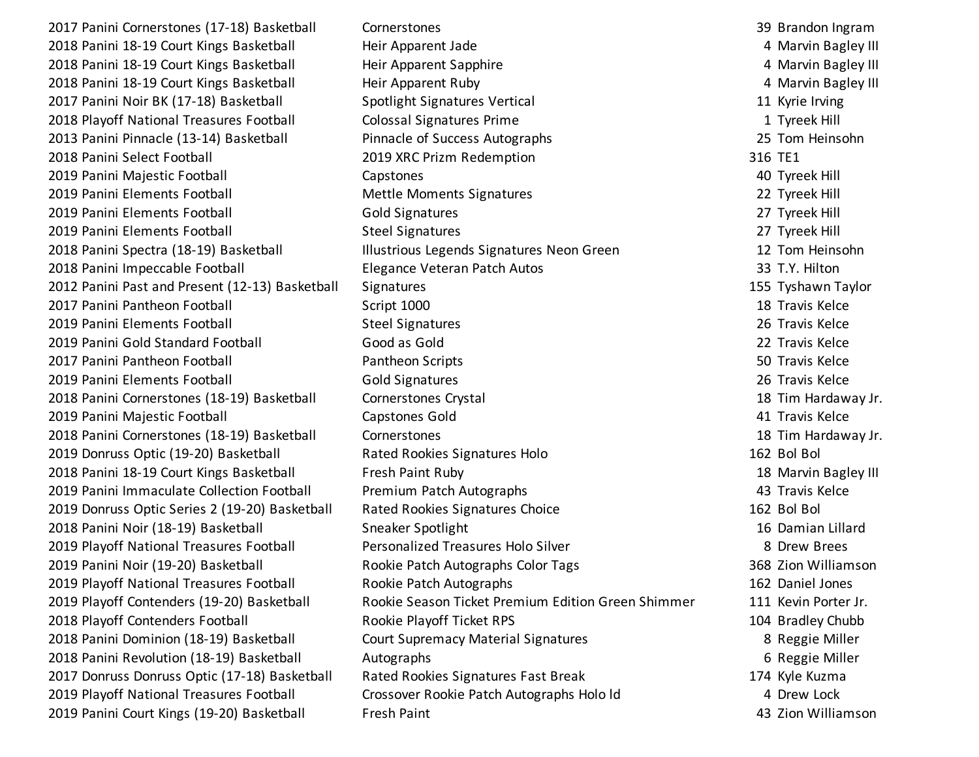2017 Panini Cornerstones (17-18) Basketball Cornerstones 39 Brandon Ingram 2018 Panini 18-19 Court Kings Basketball Heir Apparent Jade 4 Marvin Bagley III 2018 Panini 18-19 Court Kings Basketball **Heir Apparent Sapphire Heir Apparent Sapphire** 4 Marvin Bagley III 2018 Panini 18-19 Court Kings Basketball Heir Apparent Ruby 4 Marvin Bagley III 2017 Panini Noir BK (17-18) Basketball Spotlight Signatures Vertical 11 Kyrie Irving 2018 Playoff National Treasures Football Colossal Signatures Prime 1 Tyreek Hill 2013 Panini Pinnacle (13-14) Basketball Pinnacle of Success Autographs 25 Tom Heinsohn 2018 Panini Select Football 2019 XRC Prizm Redemption 316 TE1 2019 Panini Majestic Football Capstones 40 Tyreek Hill 2019 Panini Elements Football Mettle Moments Signatures 22 Tyreek Hill 2019 Panini Elements Football Gold Signatures 27 Tyreek Hill 2019 Panini Elements Football Steel Signatures 27 Tyreek Hill 2018 Panini Spectra (18-19) Basketball **Illustrious Legends Signatures Neon Green** 12 Tom Heinsohn 2018 Panini Impeccable Football Elegance Veteran Patch Autos 33 T.Y. Hilton 2012 Panini Past and Present (12-13) Basketball Signatures 155 Tyshawn Taylor 2017 Panini Pantheon Football Script 1000 18 Travis Kelce 2019 Panini Elements Football Steel Signatures 26 Travis Kelce 2019 Panini Gold Standard Football Good as Gold 22 Travis Kelce 2017 Panini Pantheon Football Pantheon Scripts 50 Travis Kelce 2019 Panini Elements Football Gold Signatures 26 Travis Kelce 2018 Panini Cornerstones (18-19) Basketball Cornerstones Crystal 18 Tim Hardaway Jr. 2019 Panini Majestic Football Capstones Gold 41 Travis Kelce 2018 Panini Cornerstones (18-19) Basketball Cornerstones 18 Tim Hardaway Jr. 2019 Donruss Optic (19-20) Basketball Rated Rookies Signatures Holo 162 Bol Bol 2018 Panini 18-19 Court Kings Basketball Fresh Paint Ruby 18 Marvin Bagley III 2019 Panini Immaculate Collection Football Premium Patch Autographs 43 Travis Kelce 2019 Donruss Optic Series 2 (19-20) Basketball Rated Rookies Signatures Choice 162 Bol Bol Bol Bol Bol Bol Bol 2018 Panini Noir (18-19) Basketball Sneaker Spotlight 16 Damian Lillard 2019 Playoff National Treasures Football Personalized Treasures Holo Silver **8 Drew Brees** 8 Drew Brees 2019 Panini Noir (19-20) Basketball **Rookie Patch Autographs Color Tags** 368 Zion Williamson 2019 Playoff National Treasures Football Rookie Patch Autographs 162 Daniel Jones 2019 Playoff Contenders (19-20) Basketball Rookie Season Ticket Premium Edition Green Shimmer 111 Kevin Porter Jr. 2018 Playoff Contenders Football **Rookie Playoff Ticket RPS** 104 Bradley Chubb 2018 Panini Dominion (18-19) Basketball Court Supremacy Material Signatures 8 Reggie Miller 2018 Panini Revolution (18-19) Basketball Autographs 6 Reggie Miller 2017 Donruss Donruss Optic (17-18) Basketball Rated Rookies Signatures Fast Break 174 Kyle Kuzma 2019 Playoff National Treasures Football Crossover Rookie Patch Autographs Holo ld 4 Drew Lock 2019 Panini Court Kings (19-20) Basketball Fresh Paint 43 Zion Williamson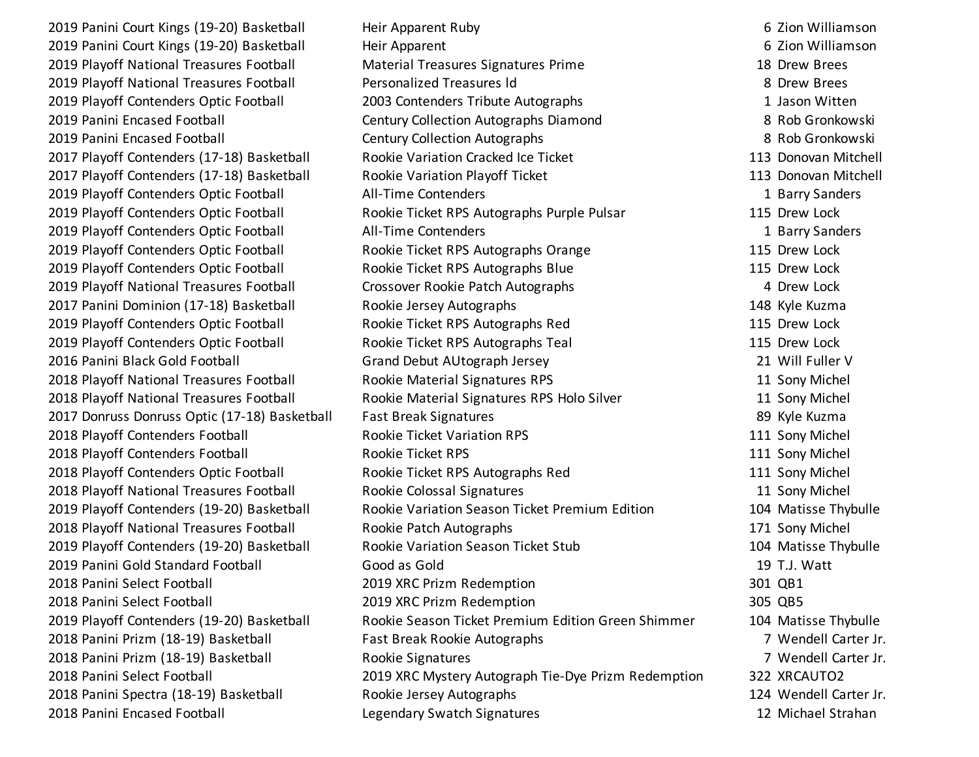2019 Panini Court Kings (19-20) Basketball Free Heir Apparent Ruby Free Heather States of Gas and Milliamson 2019 Panini Court Kings (19-20) Basketball Free Heir Apparent Court Assessment by the G Zion Williamson 2019 Playoff National Treasures Football Material Treasures Signatures Prime 18 Drew Brees 2019 Playoff National Treasures Football Personalized Treasures ld 8 Drew Brees 2019 Playoff Contenders Optic Football 2003 Contenders Tribute Autographs 1 Jason Witten 2019 Panini Encased Football Century Collection Autographs Diamond 8 Rob Gronkowski 2019 Panini Encased Football Century Collection Autographs 8 Rob Gronkowski 2017 Playoff Contenders (17-18) Basketball Rookie Variation Cracked Ice Ticket 113 Donovan Mitchell 2017 Playoff Contenders (17-18) Basketball Rookie Variation Playoff Ticket 113 Donovan Mitchell 2019 Playoff Contenders Optic Football All-Time Contenders and the state of the Sanders 1 Barry Sanders 1 Barry Sanders 2019 Playoff Contenders Optic Football **Rookie Ticket RPS Autographs Purple Pulsar** 115 Drew Lock 2019 Playoff Contenders Optic Football All-Time Contenders 1 Barry Sanders 2019 Playoff Contenders Optic Football **Rookie Ticket RPS Autographs Orange** 115 Drew Lock 2019 Playoff Contenders Optic Football **Rookie Ticket RPS Autographs Blue** 115 Drew Lock 2019 Playoff National Treasures Football **Crossover Rookie Patch Autographs** 4 Drew Lock 2017 Panini Dominion (17-18) Basketball Rookie Jersey Autographs 148 Kyle Kuzma 2019 Playoff Contenders Optic Football **Rookie Ticket RPS Autographs Red** 115 Drew Lock 2019 Playoff Contenders Optic Football **Rookie Ticket RPS Autographs Teal** 115 Drew Lock 2016 Panini Black Gold Football Grand Debut AUtograph Jersey 21 Will Fuller V 2018 Playoff National Treasures Football Rookie Material Signatures RPS 11 Sony Michel 2018 Playoff National Treasures Football Rookie Material Signatures RPS Holo Silver 11 Sony Michel 2017 Donruss Donruss Optic (17-18) Basketball Fast Break Signatures 89 Kyle Kuzma 2018 Playoff Contenders Football **Rookie Ticket Variation RPS** 111 Sony Michel 2018 Playoff Contenders Football **Rookie Ticket RPS** 118 Sony Michel 2018 Playoff Contenders Optic Football **Rookie Ticket RPS Autographs Red** 111 Sony Michel 2018 Playoff National Treasures Football Rookie Colossal Signatures 11 Sony Michel 2019 Playoff Contenders (19-20) Basketball Rookie Variation Season Ticket Premium Edition 104 Matisse Thybulle 2018 Playoff National Treasures Football Rookie Patch Autographs 171 Sony Michel 2019 Playoff Contenders (19-20) Basketball Rookie Variation Season Ticket Stub 104 Matisse Thybulle 2019 Panini Gold Standard Football Good as Gold 19 T.J. Watt 2018 Panini Select Football 2019 XRC Prizm Redemption 301 QB1 2018 Panini Select Football 2019 XRC Prizm Redemption 305 QB5 2019 Playoff Contenders (19-20) Basketball Rookie Season Ticket Premium Edition Green Shimmer 104 Matisse Thybulle 2018 Panini Prizm (18-19) Basketball Fast Break Rookie Autographs 7 Wendell Carter Jr. 2018 Panini Prizm (18-19) Basketball Rookie Signatures 7 Wendell Carter Jr. 2018 Panini Select Football 2019 XRC Mystery Autograph Tie-Dye Prizm Redemption 322 XRCAUTO2 2018 Panini Spectra (18-19) Basketball Rookie Jersey Autographs 124 Wendell Carter Jr. 2018 Panini Encased Football Legendary Swatch Signatures 12 Michael Strahan